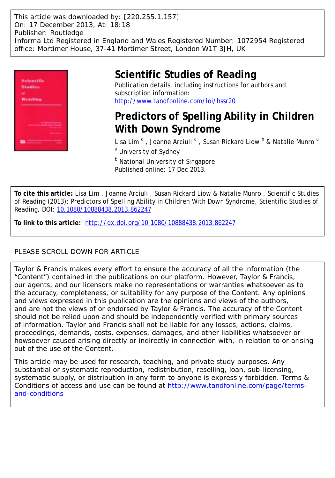This article was downloaded by: [220.255.1.157] On: 17 December 2013, At: 18:18 Publisher: Routledge Informa Ltd Registered in England and Wales Registered Number: 1072954 Registered office: Mortimer House, 37-41 Mortimer Street, London W1T 3JH, UK



# **Scientific Studies of Reading**

Publication details, including instructions for authors and subscription information: <http://www.tandfonline.com/loi/hssr20>

## **Predictors of Spelling Ability in Children With Down Syndrome**

Lisa Lim  $^{\rm a}$  , Joanne Arciuli  $^{\rm a}$  , Susan Rickard Liow  $^{\rm b}$  & Natalie Munro  $^{\rm a}$ <sup>a</sup> University of Sydney

**b** National University of Singapore Published online: 17 Dec 2013.

**To cite this article:** Lisa Lim , Joanne Arciuli , Susan Rickard Liow & Natalie Munro , Scientific Studies of Reading (2013): Predictors of Spelling Ability in Children With Down Syndrome, Scientific Studies of Reading, DOI: [10.1080/10888438.2013.862247](http://www.tandfonline.com/action/showCitFormats?doi=10.1080/10888438.2013.862247)

**To link to this article:** <http://dx.doi.org/10.1080/10888438.2013.862247>

### PLEASE SCROLL DOWN FOR ARTICLE

Taylor & Francis makes every effort to ensure the accuracy of all the information (the "Content") contained in the publications on our platform. However, Taylor & Francis, our agents, and our licensors make no representations or warranties whatsoever as to the accuracy, completeness, or suitability for any purpose of the Content. Any opinions and views expressed in this publication are the opinions and views of the authors, and are not the views of or endorsed by Taylor & Francis. The accuracy of the Content should not be relied upon and should be independently verified with primary sources of information. Taylor and Francis shall not be liable for any losses, actions, claims, proceedings, demands, costs, expenses, damages, and other liabilities whatsoever or howsoever caused arising directly or indirectly in connection with, in relation to or arising out of the use of the Content.

This article may be used for research, teaching, and private study purposes. Any substantial or systematic reproduction, redistribution, reselling, loan, sub-licensing, systematic supply, or distribution in any form to anyone is expressly forbidden. Terms & Conditions of access and use can be found at [http://www.tandfonline.com/page/terms](http://www.tandfonline.com/page/terms-and-conditions)[and-conditions](http://www.tandfonline.com/page/terms-and-conditions)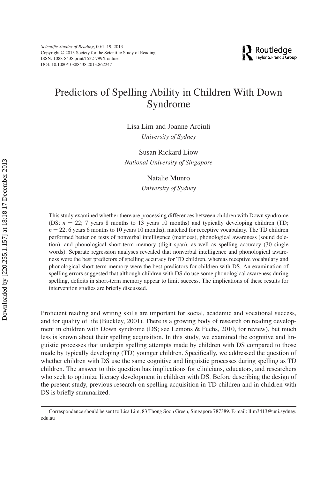

### Predictors of Spelling Ability in Children With Down Syndrome

Lisa Lim and Joanne Arciuli

*University of Sydney*

Susan Rickard Liow

*National University of Singapore*

Natalie Munro

*University of Sydney*

This study examined whether there are processing differences between children with Down syndrome (DS;  $n = 22$ ; 7 years 8 months to 13 years 10 months) and typically developing children (TD;  $n = 22$ ; 6 years 6 months to 10 years 10 months), matched for receptive vocabulary. The TD children performed better on tests of nonverbal intelligence (matrices), phonological awareness (sound deletion), and phonological short-term memory (digit span), as well as spelling accuracy (30 single words). Separate regression analyses revealed that nonverbal intelligence and phonological awareness were the best predictors of spelling accuracy for TD children, whereas receptive vocabulary and phonological short-term memory were the best predictors for children with DS. An examination of spelling errors suggested that although children with DS do use some phonological awareness during spelling, deficits in short-term memory appear to limit success. The implications of these results for intervention studies are briefly discussed.

Proficient reading and writing skills are important for social, academic and vocational success, and for quality of life (Buckley, 2001). There is a growing body of research on reading development in children with Down syndrome (DS; see Lemons & Fuchs, 2010, for review), but much less is known about their spelling acquisition. In this study, we examined the cognitive and linguistic processes that underpin spelling attempts made by children with DS compared to those made by typically developing (TD) younger children. Specifically, we addressed the question of whether children with DS use the same cognitive and linguistic processes during spelling as TD children. The answer to this question has implications for clinicians, educators, and researchers who seek to optimize literacy development in children with DS. Before describing the design of the present study, previous research on spelling acquisition in TD children and in children with DS is briefly summarized.

Correspondence should be sent to Lisa Lim, 83 Thong Soon Green, Singapore 787389. E-mail: llim3413@uni.sydney. edu.au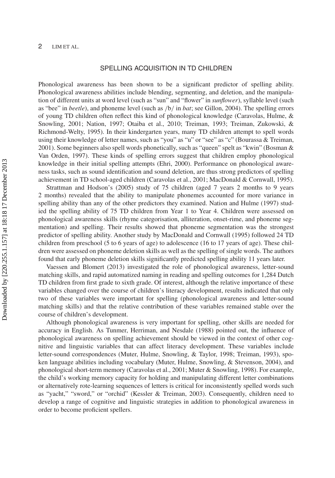#### SPELLING ACQUISITION IN TD CHILDREN

Phonological awareness has been shown to be a significant predictor of spelling ability. Phonological awareness abilities include blending, segmenting, and deletion, and the manipulation of different units at word level (such as "sun" and "flower" in *sunflower*), syllable level (such as "bee" in *beetle*), and phoneme level (such as /b/ in *bat*; see Gillon, 2004). The spelling errors of young TD children often reflect this kind of phonological knowledge (Caravolas, Hulme, & Snowling, 2001; Nation, 1997; Otaiba et al., 2010; Treiman, 1993; Treiman, Zukowski, & Richmond-Welty, 1995). In their kindergarten years, many TD children attempt to spell words using their knowledge of letter names, such as "you" as "u" or "see" as "c" (Bourassa & Treiman, 2001). Some beginners also spell words phonetically, such as "queen" spelt as "kwin" (Bosman & Van Orden, 1997). These kinds of spelling errors suggest that children employ phonological knowledge in their initial spelling attempts (Ehri, 2000). Performance on phonological awareness tasks, such as sound identification and sound deletion, are thus strong predictors of spelling achievement in TD school-aged children (Caravolas et al., 2001; MacDonald & Cornwall, 1995).

Strattman and Hodson's (2005) study of 75 children (aged 7 years 2 months to 9 years 2 months) revealed that the ability to manipulate phonemes accounted for more variance in spelling ability than any of the other predictors they examined. Nation and Hulme (1997) studied the spelling ability of 75 TD children from Year 1 to Year 4. Children were assessed on phonological awareness skills (rhyme categorisation, alliteration, onset-rime, and phoneme segmentation) and spelling. Their results showed that phoneme segmentation was the strongest predictor of spelling ability. Another study by MacDonald and Cornwall (1995) followed 24 TD children from preschool (5 to 6 years of age) to adolescence (16 to 17 years of age). These children were assessed on phoneme deletion skills as well as the spelling of single words. The authors found that early phoneme deletion skills significantly predicted spelling ability 11 years later.

Vaessen and Blomert (2013) investigated the role of phonological awareness, letter-sound matching skills, and rapid automatized naming in reading and spelling outcomes for 1,284 Dutch TD children from first grade to sixth grade. Of interest, although the relative importance of these variables changed over the course of children's literacy development, results indicated that only two of these variables were important for spelling (phonological awareness and letter-sound matching skills) and that the relative contribution of these variables remained stable over the course of children's development.

Although phonological awareness is very important for spelling, other skills are needed for accuracy in English. As Tunmer, Herriman, and Nesdale (1988) pointed out, the influence of phonological awareness on spelling achievement should be viewed in the context of other cognitive and linguistic variables that can affect literacy development. These variables include letter-sound correspondences (Muter, Hulme, Snowling, & Taylor, 1998; Treiman, 1993), spoken language abilities including vocabulary (Muter, Hulme, Snowling, & Stevenson, 2004), and phonological short-term memory (Caravolas et al., 2001; Muter & Snowling, 1998). For example, the child's working memory capacity for holding and manipulating different letter combinations or alternatively rote-learning sequences of letters is critical for inconsistently spelled words such as "yacht," "sword," or "orchid" (Kessler & Treiman, 2003). Consequently, children need to develop a range of cognitive and linguistic strategies in addition to phonological awareness in order to become proficient spellers.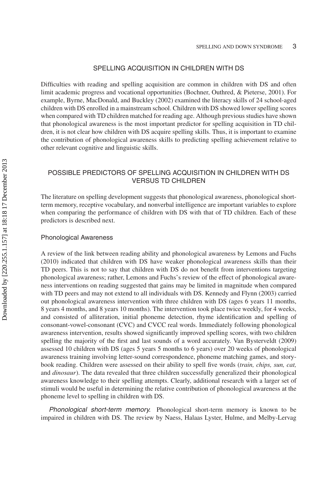#### SPELLING ACQUISITION IN CHILDREN WITH DS

Difficulties with reading and spelling acquisition are common in children with DS and often limit academic progress and vocational opportunities (Bochner, Outhred, & Pieterse, 2001). For example, Byrne, MacDonald, and Buckley (2002) examined the literacy skills of 24 school-aged children with DS enrolled in a mainstream school. Children with DS showed lower spelling scores when compared with TD children matched for reading age. Although previous studies have shown that phonological awareness is the most important predictor for spelling acquisition in TD children, it is not clear how children with DS acquire spelling skills. Thus, it is important to examine the contribution of phonological awareness skills to predicting spelling achievement relative to other relevant cognitive and linguistic skills.

#### POSSIBLE PREDICTORS OF SPELLING ACQUISITION IN CHILDREN WITH DS VERSUS TD CHILDREN

The literature on spelling development suggests that phonological awareness, phonological shortterm memory, receptive vocabulary, and nonverbal intelligence are important variables to explore when comparing the performance of children with DS with that of TD children. Each of these predictors is described next.

#### Phonological Awareness

A review of the link between reading ability and phonological awareness by Lemons and Fuchs (2010) indicated that children with DS have weaker phonological awareness skills than their TD peers. This is not to say that children with DS do not benefit from interventions targeting phonological awareness; rather, Lemons and Fuchs's review of the effect of phonological awareness interventions on reading suggested that gains may be limited in magnitude when compared with TD peers and may not extend to all individuals with DS. Kennedy and Flynn (2003) carried out phonological awareness intervention with three children with DS (ages 6 years 11 months, 8 years 4 months, and 8 years 10 months). The intervention took place twice weekly, for 4 weeks, and consisted of alliteration, initial phoneme detection, rhyme identification and spelling of consonant-vowel-consonant (CVC) and CVCC real words. Immediately following phonological awareness intervention, results showed significantly improved spelling scores, with two children spelling the majority of the first and last sounds of a word accurately. Van Bysterveldt (2009) assessed 10 children with DS (ages 5 years 5 months to 6 years) over 20 weeks of phonological awareness training involving letter-sound correspondence, phoneme matching games, and storybook reading. Children were assessed on their ability to spell five words (*train, chips, sun, cat,* and *dinosaur*). The data revealed that three children successfully generalized their phonological awareness knowledge to their spelling attempts. Clearly, additional research with a larger set of stimuli would be useful in determining the relative contribution of phonological awareness at the phoneme level to spelling in children with DS.

*Phonological short-term memory.* Phonological short-term memory is known to be impaired in children with DS. The review by Naess, Halaas Lyster, Hulme, and Melby-Lervag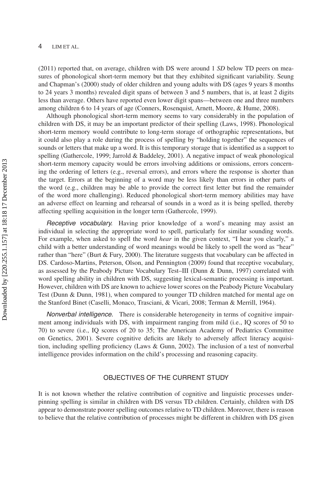(2011) reported that, on average, children with DS were around 1 *SD* below TD peers on measures of phonological short-term memory but that they exhibited significant variability. Seung and Chapman's (2000) study of older children and young adults with DS (ages 9 years 8 months to 24 years 3 months) revealed digit spans of between 3 and 5 numbers, that is, at least 2 digits less than average. Others have reported even lower digit spans—between one and three numbers among children 6 to 14 years of age (Conners, Rosenquist, Arnett, Moore, & Hume, 2008).

Although phonological short-term memory seems to vary considerably in the population of children with DS, it may be an important predictor of their spelling (Laws, 1998). Phonological short-term memory would contribute to long-term storage of orthographic representations, but it could also play a role during the process of spelling by "holding together" the sequences of sounds or letters that make up a word. It is this temporary storage that is identified as a support to spelling (Gathercole, 1999; Jarrold & Baddeley, 2001). A negative impact of weak phonological short-term memory capacity would be errors involving additions or omissions, errors concerning the ordering of letters (e.g., reversal errors), and errors where the response is shorter than the target. Errors at the beginning of a word may be less likely than errors in other parts of the word (e.g., children may be able to provide the correct first letter but find the remainder of the word more challenging). Reduced phonological short-term memory abilities may have an adverse effect on learning and rehearsal of sounds in a word as it is being spelled, thereby affecting spelling acquisition in the longer term (Gathercole, 1999).

*Receptive vocabulary.* Having prior knowledge of a word's meaning may assist an individual in selecting the appropriate word to spell, particularly for similar sounding words. For example, when asked to spell the word *hear* in the given context, "I hear you clearly," a child with a better understanding of word meanings would be likely to spell the word as "hear" rather than "here" (Burt & Fury, 2000). The literature suggests that vocabulary can be affected in DS. Cardoso-Martins, Peterson, Olson, and Pennington (2009) found that receptive vocabulary, as assessed by the Peabody Picture Vocabulary Test–III (Dunn & Dunn, 1997) correlated with word spelling ability in children with DS, suggesting lexical-semantic processing is important. However, children with DS are known to achieve lower scores on the Peabody Picture Vocabulary Test (Dunn & Dunn, 1981), when compared to younger TD children matched for mental age on the Stanford Binet (Caselli, Monaco, Trasciani, & Vicari, 2008; Terman & Merrill, 1964).

*Nonverbal intelligence.* There is considerable heterogeneity in terms of cognitive impairment among individuals with DS, with impairment ranging from mild (i.e., IQ scores of 50 to 70) to severe (i.e., IQ scores of 20 to 35; The American Academy of Pediatrics Committee on Genetics, 2001). Severe cognitive deficits are likely to adversely affect literacy acquisition, including spelling proficiency (Laws & Gunn, 2002). The inclusion of a test of nonverbal intelligence provides information on the child's processing and reasoning capacity.

#### OBJECTIVES OF THE CURRENT STUDY

It is not known whether the relative contribution of cognitive and linguistic processes underpinning spelling is similar in children with DS versus TD children. Certainly, children with DS appear to demonstrate poorer spelling outcomes relative to TD children. Moreover, there is reason to believe that the relative contribution of processes might be different in children with DS given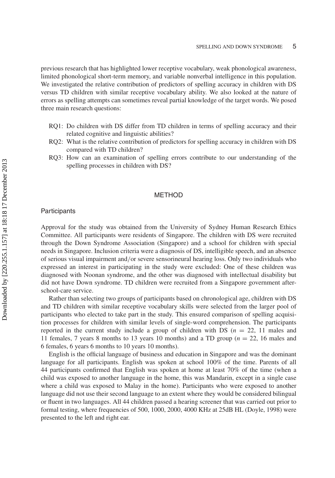previous research that has highlighted lower receptive vocabulary, weak phonological awareness, limited phonological short-term memory, and variable nonverbal intelligence in this population. We investigated the relative contribution of predictors of spelling accuracy in children with DS versus TD children with similar receptive vocabulary ability. We also looked at the nature of errors as spelling attempts can sometimes reveal partial knowledge of the target words. We posed three main research questions:

- RQ1: Do children with DS differ from TD children in terms of spelling accuracy and their related cognitive and linguistic abilities?
- RQ2: What is the relative contribution of predictors for spelling accuracy in children with DS compared with TD children?
- RQ3: How can an examination of spelling errors contribute to our understanding of the spelling processes in children with DS?

#### METHOD

#### **Participants**

Approval for the study was obtained from the University of Sydney Human Research Ethics Committee. All participants were residents of Singapore. The children with DS were recruited through the Down Syndrome Association (Singapore) and a school for children with special needs in Singapore. Inclusion criteria were a diagnosis of DS, intelligible speech, and an absence of serious visual impairment and/or severe sensorineural hearing loss. Only two individuals who expressed an interest in participating in the study were excluded: One of these children was diagnosed with Noonan syndrome, and the other was diagnosed with intellectual disability but did not have Down syndrome. TD children were recruited from a Singapore government afterschool-care service.

Rather than selecting two groups of participants based on chronological age, children with DS and TD children with similar receptive vocabulary skills were selected from the larger pool of participants who elected to take part in the study. This ensured comparison of spelling acquisition processes for children with similar levels of single-word comprehension. The participants reported in the current study include a group of children with DS  $(n = 22, 11)$  males and 11 females, 7 years 8 months to 13 years 10 months) and a TD group (*n* = 22, 16 males and 6 females, 6 years 6 months to 10 years 10 months).

English is the official language of business and education in Singapore and was the dominant language for all participants. English was spoken at school 100% of the time. Parents of all 44 participants confirmed that English was spoken at home at least 70% of the time (when a child was exposed to another language in the home, this was Mandarin, except in a single case where a child was exposed to Malay in the home). Participants who were exposed to another language did not use their second language to an extent where they would be considered bilingual or fluent in two languages. All 44 children passed a hearing screener that was carried out prior to formal testing, where frequencies of 500, 1000, 2000, 4000 KHz at 25dB HL (Doyle, 1998) were presented to the left and right ear.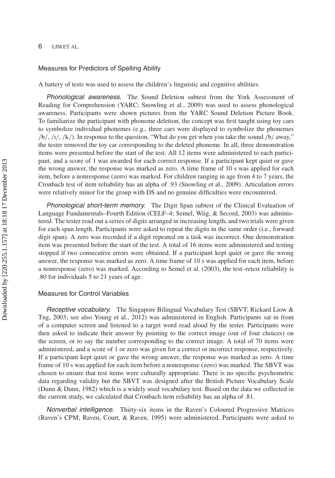#### Measures for Predictors of Spelling Ability

A battery of tests was used to assess the children's linguistic and cognitive abilities.

*Phonological awareness.* The Sound Deletion subtest from the York Assessment of Reading for Comprehension (YARC; Snowling et al., 2009) was used to assess phonological awareness. Participants were shown pictures from the YARC Sound Deletion Picture Book. To familiarize the participant with phoneme deletion, the concept was first taught using toy cars to symbolize individual phonemes (e.g., three cars were displayed to symbolize the phonemes  $/b/$ ,  $/i/$ ,  $/k/$ ). In response to the question, "What do you get when you take the sound  $/b/$  away," the tester removed the toy car corresponding to the deleted phoneme. In all, three demonstration items were presented before the start of the test. All 12 items were administered to each participant, and a score of 1 was awarded for each correct response. If a participant kept quiet or gave the wrong answer, the response was marked as zero. A time frame of 10 s was applied for each item, before a nonresponse (zero) was marked. For children ranging in age from 4 to 7 years, the Cronbach test of item reliability has an alpha of .93 (Snowling et al., 2009). Articulation errors were relatively minor for the group with DS and no genuine difficulties were encountered.

*Phonological short-term memory.* The Digit Span subtest of the Clinical Evaluation of Language Fundamentals–Fourth Edition (CELF–4; Semel, Wiig, & Secord, 2003) was administered. The tester read out a series of digits arranged in increasing length, and two trials were given for each span length. Participants were asked to repeat the digits in the same order (i.e., forward digit span). A zero was recorded if a digit repeated on a task was incorrect. One demonstration item was presented before the start of the test. A total of 16 items were administered and testing stopped if two consecutive errors were obtained. If a participant kept quiet or gave the wrong answer, the response was marked as zero. A time frame of 10 s was applied for each item, before a nonresponse (zero) was marked. According to Semel et al. (2003), the test–retest reliability is .80 for individuals 5 to 21 years of age.

#### Measures for Control Variables

*Receptive vocabulary.* The Singapore Bilingual Vocabulary Test (SBVT; Rickard Liow & Tng, 2003; see also Young et al., 2012) was administered in English. Participants sat in front of a computer screen and listened to a target word read aloud by the tester. Participants were then asked to indicate their answer by pointing to the correct image (out of four choices) on the screen, or to say the number corresponding to the correct image. A total of 70 items were administered, and a score of 1 or zero was given for a correct or incorrect response, respectively. If a participant kept quiet or gave the wrong answer, the response was marked as zero. A time frame of 10 s was applied for each item before a nonresponse (zero) was marked. The SBVT was chosen to ensure that test items were culturally appropriate. There is no specific psychometric data regarding validity but the SBVT was designed after the British Picture Vocabulary Scale (Dunn & Dunn, 1982) which is a widely used vocabulary test. Based on the data we collected in the current study, we calculated that Cronbach item reliability has an alpha of .81.

*Nonverbal intelligence.* Thirty-six items in the Raven's Coloured Progressive Matrices (Raven's CPM; Raven, Court, & Raven, 1995) were administered. Participants were asked to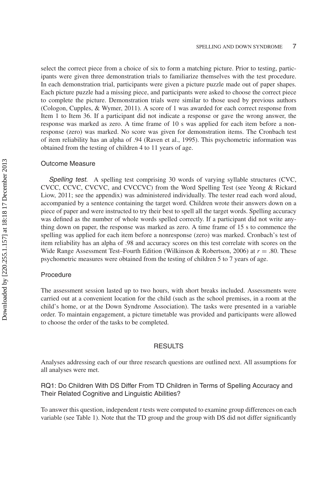select the correct piece from a choice of six to form a matching picture. Prior to testing, participants were given three demonstration trials to familiarize themselves with the test procedure. In each demonstration trial, participants were given a picture puzzle made out of paper shapes. Each picture puzzle had a missing piece, and participants were asked to choose the correct piece to complete the picture. Demonstration trials were similar to those used by previous authors (Cologon, Cupples, & Wymer, 2011). A score of 1 was awarded for each correct response from Item 1 to Item 36. If a participant did not indicate a response or gave the wrong answer, the response was marked as zero. A time frame of 10 s was applied for each item before a nonresponse (zero) was marked. No score was given for demonstration items. The Cronbach test of item reliability has an alpha of .94 (Raven et al., 1995). This psychometric information was obtained from the testing of children 4 to 11 years of age.

#### Outcome Measure

*Spelling test.* A spelling test comprising 30 words of varying syllable structures (CVC, CVCC, CCVC, CVCVC, and CVCCVC) from the Word Spelling Test (see Yeong & Rickard Liow, 2011; see the appendix) was administered individually. The tester read each word aloud, accompanied by a sentence containing the target word. Children wrote their answers down on a piece of paper and were instructed to try their best to spell all the target words. Spelling accuracy was defined as the number of whole words spelled correctly. If a participant did not write anything down on paper, the response was marked as zero. A time frame of 15 s to commence the spelling was applied for each item before a nonresponse (zero) was marked. Cronbach's test of item reliability has an alpha of .98 and accuracy scores on this test correlate with scores on the Wide Range Assessment Test–Fourth Edition (Wilkinson & Robertson, 2006) at *r* = .80. These psychometric measures were obtained from the testing of children 5 to 7 years of age.

#### Procedure

The assessment session lasted up to two hours, with short breaks included. Assessments were carried out at a convenient location for the child (such as the school premises, in a room at the child's home, or at the Down Syndrome Association). The tasks were presented in a variable order. To maintain engagement, a picture timetable was provided and participants were allowed to choose the order of the tasks to be completed.

#### **RESULTS**

Analyses addressing each of our three research questions are outlined next. All assumptions for all analyses were met.

RQ1: Do Children With DS Differ From TD Children in Terms of Spelling Accuracy and Their Related Cognitive and Linguistic Abilities?

To answer this question, independent *t* tests were computed to examine group differences on each variable (see Table 1). Note that the TD group and the group with DS did not differ significantly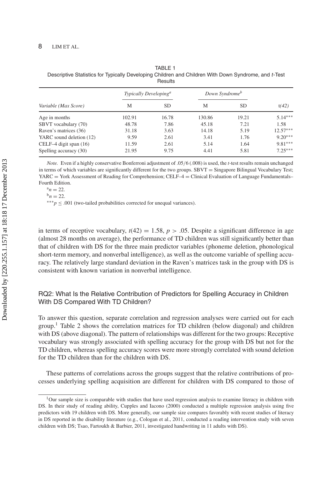| Variable (Max Score)     | Typically Developing <sup>a</sup> |           | Down Syndrome <sup>b</sup> |           |            |
|--------------------------|-----------------------------------|-----------|----------------------------|-----------|------------|
|                          | М                                 | <b>SD</b> | М                          | <b>SD</b> | t(42)      |
| Age in months            | 102.91                            | 16.78     | 130.86                     | 19.21     | $5.14***$  |
| SBVT vocabulary (70)     | 48.78                             | 7.86      | 45.18                      | 7.21      | 1.58       |
| Raven's matrices (36)    | 31.18                             | 3.63      | 14.18                      | 5.19      | $12.57***$ |
| YARC sound deletion (12) | 9.59                              | 2.61      | 3.41                       | 1.76      | $9.20***$  |
| CELF-4 digit span (16)   | 11.59                             | 2.61      | 5.14                       | 1.64      | $9.81***$  |
| Spelling accuracy (30)   | 21.95                             | 9.75      | 4.41                       | 5.81      | $7.25***$  |
|                          |                                   |           |                            |           |            |

TABLE 1 Descriptive Statistics for Typically Developing Children and Children With Down Syndrome, and *t*-Test **Results** 

*Note.* Even if a highly conservative Bonferroni adjustment of .05/6 (.008) is used, the *t*-test results remain unchanged in terms of which variables are significantly different for the two groups. SBVT = Singapore Bilingual Vocabulary Test; YARC = York Assessment of Reading for Comprehension; CELF-4 = Clinical Evaluation of Language Fundamentals-Fourth Edition.

 ${}^{a}n = 22.$ <br> ${}^{b}n = 22.$ 

∗∗∗*p* ≤ .001 (two-tailed probabilities corrected for unequal variances).

in terms of receptive vocabulary,  $t(42) = 1.58$ ,  $p > .05$ . Despite a significant difference in age (almost 28 months on average), the performance of TD children was still significantly better than that of children with DS for the three main predictor variables (phoneme deletion, phonological short-term memory, and nonverbal intelligence), as well as the outcome variable of spelling accuracy. The relatively large standard deviation in the Raven's matrices task in the group with DS is consistent with known variation in nonverbal intelligence.

#### RQ2: What Is the Relative Contribution of Predictors for Spelling Accuracy in Children With DS Compared With TD Children?

To answer this question, separate correlation and regression analyses were carried out for each group.<sup>1</sup> Table 2 shows the correlation matrices for TD children (below diagonal) and children with DS (above diagonal). The pattern of relationships was different for the two groups: Receptive vocabulary was strongly associated with spelling accuracy for the group with DS but not for the TD children, whereas spelling accuracy scores were more strongly correlated with sound deletion for the TD children than for the children with DS.

These patterns of correlations across the groups suggest that the relative contributions of processes underlying spelling acquisition are different for children with DS compared to those of

<sup>&</sup>lt;sup>1</sup>Our sample size is comparable with studies that have used regression analysis to examine literacy in children with DS. In their study of reading ability, Cupples and Iacono (2000) conducted a multiple regression analysis using five predictors with 19 children with DS. More generally, our sample size compares favorably with recent studies of literacy in DS reported in the disability literature (e.g., Cologan et al., 2011, conducted a reading intervention study with seven children with DS; Tsao, Fartoukh & Barbier, 2011, investigated handwriting in 11 adults with DS).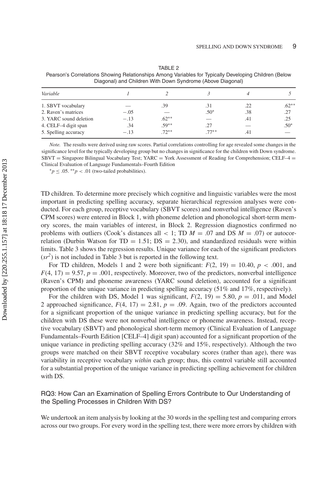|                        | ້      |          | . .    |     |         |
|------------------------|--------|----------|--------|-----|---------|
| Variable               |        |          |        |     |         |
| 1. SBVT vocabulary     |        | .39      | .31    | .22 | $.62**$ |
| 2. Raven's matrices    | $-.05$ |          | $.50*$ | .38 | .27     |
| 3. YARC sound deletion | $-.13$ | $.62**$  |        | .41 | .25     |
| 4. CELF-4 digit span   | .34    | $.59**$  | .27    |     | $.50*$  |
| 5. Spelling accuracy   | $-.13$ | $.72***$ | $77**$ | .41 |         |

TABLE 2 Pearson's Correlations Showing Relationships Among Variables for Typically Developing Children (Below Diagonal) and Children With Down Syndrome (Above Diagonal)

*Note.* The results were derived using raw scores. Partial correlations controlling for age revealed some changes in the significance level for the typically developing group but no changes in significance for the children with Down syndrome.  $SBVT =$  Singapore Bilingual Vocabulary Test; YARC = York Assessment of Reading for Comprehension; CELF–4 = Clinical Evaluation of Language Fundamentals–Fourth Edition

<sup>∗</sup>*p* ≤ .05. ∗∗*p* < .01 (two-tailed probabilities).

TD children. To determine more precisely which cognitive and linguistic variables were the most important in predicting spelling accuracy, separate hierarchical regression analyses were conducted. For each group, receptive vocabulary (SBVT scores) and nonverbal intelligence (Raven's CPM scores) were entered in Block 1, with phoneme deletion and phonological short-term memory scores, the main variables of interest, in Block 2. Regression diagnostics confirmed no problems with outliers (Cook's distances all  $\lt 1$ ; TD  $M = .07$  and DS  $M = .07$ ) or autocorrelation (Durbin Watson for TD = 1.51; DS = 2.30), and standardized residuals were within limits. Table 3 shows the regression results. Unique variance for each of the significant predictors  $(sr<sup>2</sup>)$  is not included in Table 3 but is reported in the following text.

For TD children, Models 1 and 2 were both significant:  $F(2, 19) = 10.40$ ,  $p < .001$ , and  $F(4, 17) = 9.57$ ,  $p = .001$ , respectively. Moreover, two of the predictors, nonverbal intelligence (Raven's CPM) and phoneme awareness (YARC sound deletion), accounted for a significant proportion of the unique variance in predicting spelling accuracy (51% and 17%, respectively).

For the children with DS, Model 1 was significant,  $F(2, 19) = 5.80$ ,  $p = .011$ , and Model 2 approached significance,  $F(4, 17) = 2.81$ ,  $p = .09$ . Again, two of the predictors accounted for a significant proportion of the unique variance in predicting spelling accuracy, but for the children with DS these were not nonverbal intelligence or phoneme awareness. Instead, receptive vocabulary (SBVT) and phonological short-term memory (Clinical Evaluation of Language Fundamentals–Fourth Edition [CELF–4] digit span) accounted for a significant proportion of the unique variance in predicting spelling accuracy (32% and 15%, respectively). Although the two groups were matched on their SBVT receptive vocabulary scores (rather than age), there was variability in receptive vocabulary *within* each group; thus, this control variable still accounted for a substantial proportion of the unique variance in predicting spelling achievement for children with DS.

#### RQ3: How Can an Examination of Spelling Errors Contribute to Our Understanding of the Spelling Processes in Children With DS?

We undertook an item analysis by looking at the 30 words in the spelling test and comparing errors across our two groups. For every word in the spelling test, there were more errors by children with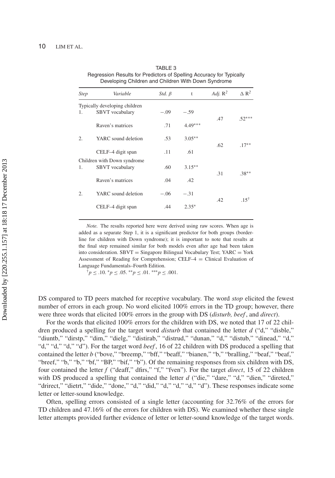| <b>Step</b> | Variable                      | <i>Std.</i> $\beta$ | t        | Adj. $\mathbb{R}^2$ | $\wedge$ R <sup>2</sup> |
|-------------|-------------------------------|---------------------|----------|---------------------|-------------------------|
|             | Typically developing children |                     |          |                     |                         |
| 1.          | <b>SBVT</b> vocabulary        | $-.09$              | $-.59$   |                     |                         |
|             | Raven's matrices              |                     | 4.49***  | .47                 | $.52***$                |
| 2.          | YARC sound deletion           | .53                 | $3.05**$ | .62                 | $.17***$                |
|             | CELF-4 digit span             | .11                 | .61      |                     |                         |
|             | Children with Down syndrome   |                     |          |                     |                         |
| 1.          | <b>SBVT</b> vocabulary        | .60                 | $3.15**$ |                     |                         |
|             | Raven's matrices              | .04                 | .42      | .31                 | $.38***$                |
| 2.          | YARC sound deletion           | $-.06$              | $-.31$   |                     | $.15^{+}$               |
|             | CELF-4 digit span             | .44                 | $2.35*$  | .42                 |                         |
|             |                               |                     |          |                     |                         |

TABLE 3 Regression Results for Predictors of Spelling Accuracy for Typically Developing Children and Children With Down Syndrome

*Note.* The results reported here were derived using raw scores. When age is added as a separate Step 1, it is a significant predictor for both groups (borderline for children with Down syndrome); it is important to note that results at the final step remained similar for both models even after age had been taken into consideration.  $SBVT =$  Singapore Bilingual Vocabulary Test;  $YARC =$  York Assessment of Reading for Comprehension; CELF- $4 =$  Clinical Evaluation of Language Fundamentals–Fourth Edition.

†*<sup>p</sup>* <sup>≤</sup> .10. <sup>∗</sup>*<sup>p</sup>* <sup>≤</sup> .05. ∗∗*<sup>p</sup>* <sup>≤</sup> .01. ∗∗∗*<sup>p</sup>* <sup>≤</sup> .001.

DS compared to TD peers matched for receptive vocabulary. The word *stop* elicited the fewest number of errors in each group. No word elicited 100% errors in the TD group; however, there were three words that elicited 100% errors in the group with DS (*disturb, beef* , and *direct*).

For the words that elicited 100% errors for the children with DS, we noted that 17 of 22 children produced a spelling for the target word *disturb* that contained the letter *d* ("d," "disble," "diuntb," "dirstp," "dim," "dielg," "distirab," "distrud," "dunan," "d," "distub," "dinead," "d," "d," "d," "d," "d"). For the target word *beef* , 16 of 22 children with DS produced a spelling that contained the letter *b* ("bove," "breemp," "bff," "beaff," "bianen," "b," "bralling," "beaf," "beaf," "breef," "b," "b," "bf," "BP," "bif," "b"). Of the remaining responses from six children with DS, four contained the letter *f* ("deaff," dfirs," "f," "fven"). For the target *direct*, 15 of 22 children with DS produced a spelling that contained the letter *d* ("die," "dare," "d," "dien," "direted," "drirect," "dietrt," "dide," "done," "d," "did," "d," "d," "d," "d"). These responses indicate some letter or letter-sound knowledge.

Often, spelling errors consisted of a single letter (accounting for 32.76% of the errors for TD children and 47.16% of the errors for children with DS). We examined whether these single letter attempts provided further evidence of letter or letter-sound knowledge of the target words.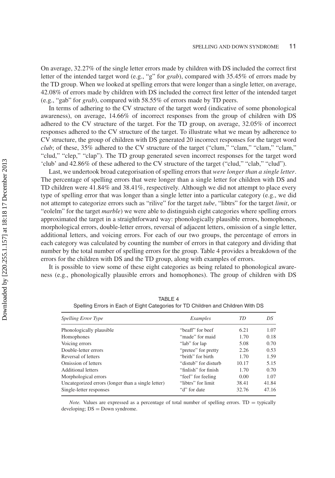On average, 32.27% of the single letter errors made by children with DS included the correct first letter of the intended target word (e.g., "g" for *grab*), compared with 35.45% of errors made by the TD group. When we looked at spelling errors that were longer than a single letter, on average, 42.08% of errors made by children with DS included the correct first letter of the intended target (e.g., "gab" for *grab*), compared with 58.55% of errors made by TD peers.

In terms of adhering to the CV structure of the target word (indicative of some phonological awareness), on average, 14.66% of incorrect responses from the group of children with DS adhered to the CV structure of the target. For the TD group, on average, 32.05% of incorrect responses adhered to the CV structure of the target. To illustrate what we mean by adherence to CV structure, the group of children with DS generated 20 incorrect responses for the target word *club*; of these, 35% adhered to the CV structure of the target ("clum," "clam," "clam," "clam," "clud," "clep," "clap"). The TD group generated seven incorrect responses for the target word 'club' and 42.86% of these adhered to the CV structure of the target ("clud," "clab," "clud").

Last, we undertook broad categorisation of spelling errors that *were longer than a single letter*. The percentage of spelling errors that were longer than a single letter for children with DS and TD children were 41.84% and 38.41%, respectively. Although we did not attempt to place every type of spelling error that was longer than a single letter into a particular category (e.g., we did not attempt to categorize errors such as "rilive" for the target *tube*, "libtrs" for the target *limit*, or "eolelm" for the target *marble*) we were able to distinguish eight categories where spelling errors approximated the target in a straightforward way: phonologically plausible errors, homophones, morphological errors, double-letter errors, reversal of adjacent letters, omission of a single letter, additional letters, and voicing errors. For each of our two groups, the percentage of errors in each category was calculated by counting the number of errors in that category and dividing that number by the total number of spelling errors for the group. Table 4 provides a breakdown of the errors for the children with DS and the TD group, along with examples of errors.

It is possible to view some of these eight categories as being related to phonological awareness (e.g., phonologically plausible errors and homophones). The group of children with DS

| Examples             | <b>TD</b> | DS    |
|----------------------|-----------|-------|
| "beaff" for beef     | 6.21      | 1.07  |
| "made" for maid      | 1.70      | 0.18  |
| "lab" for lap        | 5.08      | 0.70  |
| "pretee" for pretty  | 2.26      | 0.53  |
| "brith" for birth    | 1.70      | 1.59  |
| "distub" for disturb | 10.17     | 5.15  |
| "finlish" for finish | 1.70      | 0.70  |
| "feel" for feeling"  | 0.00      | 1.07  |
| "libtrs" for limit"  | 38.41     | 41.84 |
| "d" for date         | 32.76     | 47.16 |
|                      |           |       |

TABLE 4 Spelling Errors in Each of Eight Categories for TD Children and Children With DS

*Note.* Values are expressed as a percentage of total number of spelling errors.  $TD =$  typically  $developing$ ;  $DS = Down syndrome$ .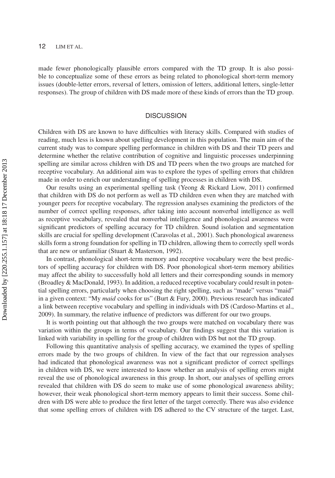made fewer phonologically plausible errors compared with the TD group. It is also possible to conceptualize some of these errors as being related to phonological short-term memory issues (double-letter errors, reversal of letters, omission of letters, additional letters, single-letter responses). The group of children with DS made more of these kinds of errors than the TD group.

#### **DISCUSSION**

Children with DS are known to have difficulties with literacy skills. Compared with studies of reading, much less is known about spelling development in this population. The main aim of the current study was to compare spelling performance in children with DS and their TD peers and determine whether the relative contribution of cognitive and linguistic processes underpinning spelling are similar across children with DS and TD peers when the two groups are matched for receptive vocabulary. An additional aim was to explore the types of spelling errors that children made in order to enrich our understanding of spelling processes in children with DS.

Our results using an experimental spelling task (Yeong & Rickard Liow, 2011) confirmed that children with DS do not perform as well as TD children even when they are matched with younger peers for receptive vocabulary. The regression analyses examining the predictors of the number of correct spelling responses, after taking into account nonverbal intelligence as well as receptive vocabulary, revealed that nonverbal intelligence and phonological awareness were significant predictors of spelling accuracy for TD children. Sound isolation and segmentation skills are crucial for spelling development (Caravolas et al., 2001). Such phonological awareness skills form a strong foundation for spelling in TD children, allowing them to correctly spell words that are new or unfamiliar (Stuart & Masterson, 1992).

In contrast, phonological short-term memory and receptive vocabulary were the best predictors of spelling accuracy for children with DS. Poor phonological short-term memory abilities may affect the ability to successfully hold all letters and their corresponding sounds in memory (Broadley & MacDonald, 1993). In addition, a reduced receptive vocabulary could result in potential spelling errors, particularly when choosing the right spelling, such as "made" versus "maid" in a given context: "My *maid* cooks for us" (Burt & Fury, 2000). Previous research has indicated a link between receptive vocabulary and spelling in individuals with DS (Cardoso-Martins et al., 2009). In summary, the relative influence of predictors was different for our two groups.

It is worth pointing out that although the two groups were matched on vocabulary there was variation within the groups in terms of vocabulary. Our findings suggest that this variation is linked with variability in spelling for the group of children with DS but not the TD group.

Following this quantitative analysis of spelling accuracy, we examined the types of spelling errors made by the two groups of children. In view of the fact that our regression analyses had indicated that phonological awareness was not a significant predictor of correct spellings in children with DS, we were interested to know whether an analysis of spelling errors might reveal the use of phonological awareness in this group. In short, our analyses of spelling errors revealed that children with DS do seem to make use of some phonological awareness ability; however, their weak phonological short-term memory appears to limit their success. Some children with DS were able to produce the first letter of the target correctly. There was also evidence that some spelling errors of children with DS adhered to the CV structure of the target. Last,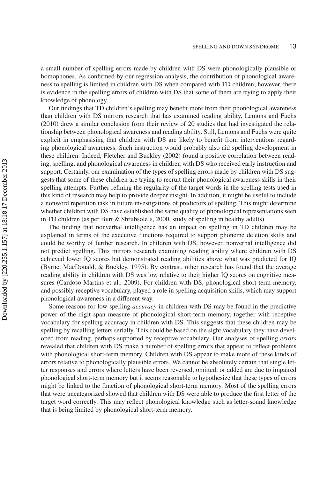a small number of spelling errors made by children with DS were phonologically plausible or homophones. As confirmed by our regression analysis, the contribution of phonological awareness to spelling is limited in children with DS when compared with TD children; however, there is evidence in the spelling errors of children with DS that some of them are trying to apply their knowledge of phonology.

Our findings that TD children's spelling may benefit more from their phonological awareness than children with DS mirrors research that has examined reading ability. Lemons and Fuchs (2010) drew a similar conclusion from their review of 20 studies that had investigated the relationship between phonological awareness and reading ability. Still, Lemons and Fuchs were quite explicit in emphasising that children with DS are likely to benefit from interventions regarding phonological awareness. Such instruction would probably also aid spelling development in these children. Indeed, Fletcher and Buckley (2002) found a positive correlation between reading, spelling, and phonological awareness in children with DS who received early instruction and support. Certainly, our examination of the types of spelling errors made by children with DS suggests that some of these children are trying to recruit their phonological awareness skills in their spelling attempts. Further refining the regularity of the target words in the spelling tests used in this kind of research may help to provide deeper insight. In addition, it might be useful to include a nonword repetition task in future investigations of predictors of spelling. This might determine whether children with DS have established the same quality of phonological representations seen in TD children (as per Burt & Shrubsole's, 2000, study of spelling in healthy adults).

The finding that nonverbal intelligence has an impact on spelling in TD children may be explained in terms of the executive functions required to support phoneme deletion skills and could be worthy of further research. In children with DS, however, nonverbal intelligence did not predict spelling. This mirrors research examining reading ability where children with DS achieved lower IQ scores but demonstrated reading abilities above what was predicted for IQ (Byrne, MacDonald, & Buckley, 1995). By contrast, other research has found that the average reading ability in children with DS was low relative to their higher IQ scores on cognitive measures (Cardoso-Martins et al., 2009). For children with DS, phonological short-term memory, and possibly receptive vocabulary, played a role in spelling acquisition skills, which may support phonological awareness in a different way.

Some reasons for low spelling *accuracy* in children with DS may be found in the predictive power of the digit span measure of phonological short-term memory, together with receptive vocabulary for spelling accuracy in children with DS. This suggests that these children may be spelling by recalling letters serially. This could be based on the sight vocabulary they have developed from reading, perhaps supported by receptive vocabulary. Our analyses of spelling *errors* revealed that children with DS make a number of spelling errors that appear to reflect problems with phonological short-term memory. Children with DS appear to make more of these kinds of errors relative to phonologically plausible errors. We cannot be absolutely certain that single letter responses and errors where letters have been reversed, omitted, or added are due to impaired phonological short-term memory but it seems reasonable to hypothesize that these types of errors might be linked to the function of phonological short-term memory. Most of the spelling errors that were uncategorized showed that children with DS were able to produce the first letter of the target word correctly. This may reflect phonological knowledge such as letter-sound knowledge that is being limited by phonological short-term memory.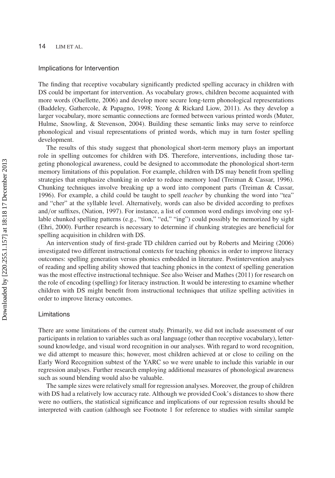#### 14 LIM ET AL.

#### Implications for Intervention

The finding that receptive vocabulary significantly predicted spelling accuracy in children with DS could be important for intervention. As vocabulary grows, children become acquainted with more words (Ouellette, 2006) and develop more secure long-term phonological representations (Baddeley, Gathercole, & Papagno, 1998; Yeong & Rickard Liow, 2011). As they develop a larger vocabulary, more semantic connections are formed between various printed words (Muter, Hulme, Snowling, & Stevenson, 2004). Building these semantic links may serve to reinforce phonological and visual representations of printed words, which may in turn foster spelling development.

The results of this study suggest that phonological short-term memory plays an important role in spelling outcomes for children with DS. Therefore, interventions, including those targeting phonological awareness, could be designed to accommodate the phonological short-term memory limitations of this population. For example, children with DS may benefit from spelling strategies that emphasize chunking in order to reduce memory load (Treiman & Cassar, 1996). Chunking techniques involve breaking up a word into component parts (Treiman & Cassar, 1996). For example, a child could be taught to spell *teacher* by chunking the word into "tea" and "cher" at the syllable level. Alternatively, words can also be divided according to prefixes and/or suffixes, (Nation, 1997). For instance, a list of common word endings involving one syllable chunked spelling patterns (e.g., "tion," "ed," "ing") could possibly be memorized by sight (Ehri, 2000). Further research is necessary to determine if chunking strategies are beneficial for spelling acquisition in children with DS.

An intervention study of first-grade TD children carried out by Roberts and Meiring (2006) investigated two different instructional contexts for teaching phonics in order to improve literacy outcomes: spelling generation versus phonics embedded in literature. Postintervention analyses of reading and spelling ability showed that teaching phonics in the context of spelling generation was the most effective instructional technique. See also Weiser and Mathes (2011) for research on the role of encoding (spelling) for literacy instruction. It would be interesting to examine whether children with DS might benefit from instructional techniques that utilize spelling activities in order to improve literacy outcomes.

#### Limitations

There are some limitations of the current study. Primarily, we did not include assessment of our participants in relation to variables such as oral language (other than receptive vocabulary), lettersound knowledge, and visual word recognition in our analyses. With regard to word recognition, we did attempt to measure this; however, most children achieved at or close to ceiling on the Early Word Recognition subtest of the YARC so we were unable to include this variable in our regression analyses. Further research employing additional measures of phonological awareness such as sound blending would also be valuable.

The sample sizes were relatively small for regression analyses. Moreover, the group of children with DS had a relatively low accuracy rate. Although we provided Cook's distances to show there were no outliers, the statistical significance and implications of our regression results should be interpreted with caution (although see Footnote 1 for reference to studies with similar sample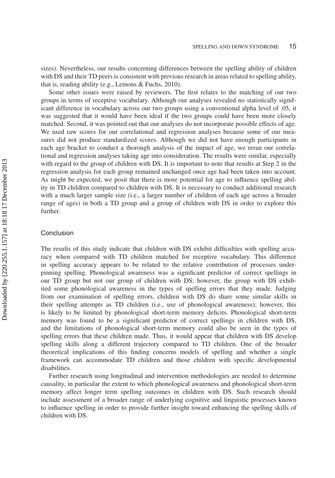sizes). Nevertheless, our results concerning differences between the spelling ability of children with DS and their TD peers is consistent with previous research in areas related to spelling ability, that is, reading ability (e.g., Lemons & Fuchs, 2010).

Some other issues were raised by reviewers. The first relates to the matching of our two groups in terms of receptive vocabulary. Although our analyses revealed no statistically significant difference in vocabulary across our two groups using a conventional alpha level of .05, it was suggested that it would have been ideal if the two groups could have been more closely matched. Second, it was pointed out that our analyses do not incorporate possible effects of age. We used raw scores for our correlational and regression analyses because some of our measures did not produce standardized scores. Although we did not have enough participants in each age bracket to conduct a thorough analysis of the impact of age, we reran our correlational and regression analyses taking age into consideration. The results were similar, especially with regard to the group of children with DS. It is important to note that results at Step 2 in the regression analysis for each group remained unchanged once age had been taken into account. As might be expected, we posit that there is more potential for age to influence spelling ability in TD children compared to children with DS. It is necessary to conduct additional research with a much larger sample size (i.e., a larger number of children of each age across a broader range of ages) in both a TD group and a group of children with DS in order to explore this further.

#### Conclusion

The results of this study indicate that children with DS exhibit difficulties with spelling accuracy when compared with TD children matched for receptive vocabulary. This difference in spelling accuracy appears to be related to the relative contribution of processes underpinning spelling. Phonological awareness was a significant predictor of correct spellings in our TD group but not our group of children with DS; however, the group with DS exhibited some phonological awareness in the types of spelling errors that they made. Judging from our examination of spelling errors, children with DS do share some similar skills in their spelling attempts as TD children (i.e., use of phonological awareness); however, this is likely to be limited by phonological short-term memory deficits. Phonological short-term memory was found to be a significant predictor of correct spellings in children with DS, and the limitations of phonological short-term memory could also be seen in the types of spelling errors that these children made. Thus, it would appear that children with DS develop spelling skills along a different trajectory compared to TD children. One of the broader theoretical implications of this finding concerns models of spelling and whether a single framework can accommodate TD children and those children with specific developmental disabilities.

Further research using longitudinal and intervention methodologies are needed to determine causality, in particular the extent to which phonological awareness and phonological short-term memory affect longer term spelling outcomes in children with DS. Such research should include assessment of a broader range of underlying cognitive and linguistic processes known to influence spelling in order to provide further insight toward enhancing the spelling skills of children with DS.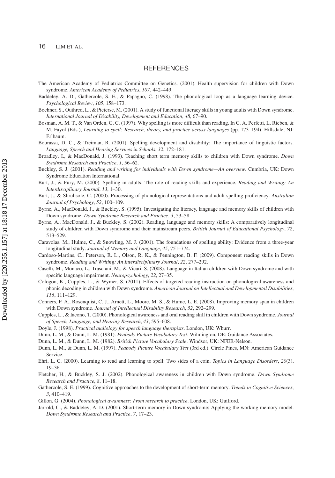#### **REFERENCES**

- The American Academy of Pediatrics Committee on Genetics. (2001). Health supervision for children with Down syndrome. *American Academy of Pediatrics*, *107*, 442–449.
- Baddeley, A. D., Gathercole, S. E., & Papagno, C. (1998). The phonological loop as a language learning device. *Psychological Review*, *105*, 158–173.
- Bochner, S., Outhred, L., & Pieterse, M. (2001). A study of functional literacy skills in young adults with Down syndrome. *International Journal of Disability, Development and Education*, *48*, 67–90.
- Bosman, A. M. T., & Van Orden, G. C. (1997). Why spelling is more difficult than reading. In C. A. Perfetti, L. Rieben, & M. Fayol (Eds.), *Learning to spell: Research, theory, and practice across languages* (pp. 173–194). Hillsdale, NJ: Erlbaum.
- Bourassa, D. C., & Treiman, R. (2001). Spelling development and disability: The importance of linguistic factors. *Language, Speech and Hearing Services in Schools*, *32*, 172–181.
- Broadley, I., & MacDonald, J. (1993). Teaching short term memory skills to children with Down syndrome. *Down Syndrome Research and Practice*, *1*, 56–62.
- Buckley, S. J. (2001). *Reading and writing for individuals with Down syndrome—An overview*. Cumbria, UK: Down Syndrome Education International.
- Burt, J., & Fury, M. (2000). Spelling in adults: The role of reading skills and experience. *Reading and Writing: An Interdisciplinary Journal*, *13*, 1–30.
- Burt, J., & Shrubsole, C. (2000). Processing of phonological representations and adult spelling proficiency. *Australian Journal of Psychology*, *52*, 100–109.
- Byrne, A., MacDonald, J., & Buckley, S. (1995). Investigating the literacy, language and memory skills of children with Down syndrome. *Down Syndrome Research and Practice*, *3*, 53–58.
- Byrne, A., MacDonald, J., & Buckley, S. (2002). Reading, language and memory skills: A comparatively longitudinal study of children with Down syndrome and their mainstream peers. *British Journal of Educational Psychology*, *72*, 513–529.
- Caravolas, M., Hulme, C., & Snowling, M. J. (2001). The foundations of spelling ability: Evidence from a three-year longitudinal study. *Journal of Memory and Language*, *45*, 751–774.
- Cardoso-Martins, C., Peterson, R. L., Olson, R. K., & Pennington, B. F. (2009). Component reading skills in Down syndrome. *Reading and Writing: An Interdisciplinary Journal*, *22*, 277–292.
- Caselli, M., Monaco, L., Trasciani, M., & Vicari, S. (2008). Language in Italian children with Down syndrome and with specific language impairment. *Neuropsychology*, *22*, 27–35.
- Cologon, K., Cupples, L., & Wymer, S. (2011). Effects of targeted reading instruction on phonological awareness and phonic decoding in children with Down syndrome. *American Journal on Intellectual and Developmental Disabilities*, *116*, 111–129.
- Conners, F. A., Rosenquist, C. J., Arnett, L., Moore, M. S., & Hume, L. E. (2008). Improving memory span in children with Down syndrome. *Journal of Intellectual Disability Research*, *52*, 292–299.
- Cupples, L., & Iacono, T. (2000). Phonological awareness and oral reading skill in children with Down syndrome. *Journal of Speech, Language, and Hearing Research*, *43*, 595–608.
- Doyle, J. (1998). *Practical audiology for speech language therapists*. London, UK: Whurr.
- Dunn, L. M., & Dunn, L. M. (1981). *Peabody Picture Vocabulary Test*. Wilmington, DE: Guidance Associates.
- Dunn, L. M., & Dunn, L. M. (1982). *British Picture Vocabulary Scale*. Windsor, UK: NFER-Nelson.
- Dunn, L. M., & Dunn, L. M. (1997). *Peabody Picture Vocabulary Test* (3rd ed.). Circle Pines, MN: American Guidance Service.
- Ehri, L. C. (2000). Learning to read and learning to spell: Two sides of a coin. *Topics in Language Disorders*, *20*(3), 19–36.
- Fletcher, H., & Buckley, S. J. (2002). Phonological awareness in children with Down syndrome. *Down Syndrome Research and Practice*, *8*, 11–18.
- Gathercole, S. E. (1999). Cognitive approaches to the development of short-term memory. *Trends in Cognitive Sciences*, *3*, 410–419.
- Gillon, G. (2004). *Phonological awareness: From research to practice*. London, UK: Guilford.
- Jarrold, C., & Baddeley, A. D. (2001). Short-term memory in Down syndrome: Applying the working memory model. *Down Syndrome Research and Practice*, *7*, 17–23.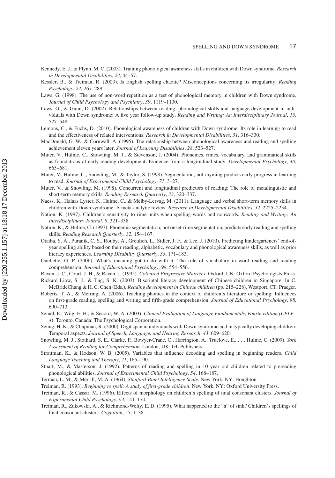- Kennedy, E. J., & Flynn, M. C. (2003). Training phonological awareness skills in children with Down syndrome. *Research in Developmental Disabilities*, *24*, 44–57.
- Kessler, B., & Treiman, R. (2003). Is English spelling chaotic? Misconceptions concerning its irregularity. *Reading Psychology*, *24*, 267–289.
- Laws, G. (1998). The use of non-word repetition as a test of phonological memory in children with Down syndrome. *Journal of Child Psychology and Psychiatry*, *39*, 1119–1130.
- Laws, G., & Gunn, D. (2002). Relationships between reading, phonological skills and language development in individuals with Down syndrome: A five year follow-up study. *Reading and Writing: An Interdisciplinary Journal*, *15*, 527–548.
- Lemons, C., & Fuchs, D. (2010). Phonological awareness of children with Down syndrome: Its role in learning to read and the effectiveness of related interventions. *Research in Developmental Disabilities*, *31*, 316–330.
- MacDonald, G. W., & Cornwall, A. (1995). The relationship between phonological awareness and reading and spelling achievement eleven years later. *Journal of Learning Disabilities*, *28*, 523–527.
- Muter, V., Hulme, C., Snowling, M. J., & Stevenson, J. (2004). Phonemes, rimes, vocabulary, and grammatical skills as foundations of early reading development: Evidence from a longitudinal study. *Developmental Psychology*, *40*, 665–681.
- Muter, V., Hulme, C., Snowling, M., & Taylor, S. (1998). Segmentation, not rhyming predicts early progress in learning to read. *Journal of Experimental Child Psychology*, *71*, 3–27.
- Muter, V., & Snowling, M. (1998). Concurrent and longitudinal predictors of reading: The role of metalinguistic and short-term memory skills. *Reading Research Quarterly*, *33*, 320–337.
- Naess, K., Halaas Lyster, S., Hulme, C., & Melby-Lervag, M. (2011). Language and verbal short-term memory skills in children with Down syndrome: A meta-analytic review. *Research in Developmental Disabilities*, *32*, 2225–2234.
- Nation, K. (1997). Children's sensitivity to rime units when spelling words and nonwords. *Reading and Writing: An Interdisciplinary Journal*, *9*, 321–338.
- Nation, K., & Hulme, C. (1997). Phonemic segmentation, not onset-rime segmentation, predicts early reading and spelling skills. *Reading Research Quarterly*, *32*, 154–167.
- Otaiba, S. A., Puranik, C. S., Rouby, A., Greulich, L., Sidler, J. F., & Lee, J. (2010). Predicting kindergarteners' end-ofyear spelling ability based on their reading, alphabetic, vocabulary and phonological awareness skills, as well as prior literacy experiences. *Learning Disability Quarterly*, *33*, 171–183.
- Ouellette, G. P. (2006). What's meaning got to do with it: The role of vocabulary in word reading and reading comprehension. *Journal of Educational Psychology*, *98*, 554–556.
- Raven, J. C., Court, J. H., & Raven, J. (1995). *Coloured Progressive Matrices*. Oxford, UK: Oxford Psychologists Press.
- Rickard Liow, S. J., & Tng, S. K. (2003). Biscriptal literacy development of Chinese children in Singapore. In C. McBrideChang & H. C. Chen (Eds.), *Reading development in Chinese children* (pp. 215–228). Westport, CT: Praeger.
- Roberts, T. A., & Meiring, A. (2006). Teaching phonics in the context of children's literature or spelling: Influences on first-grade reading, spelling and writing and fifth-grade comprehension. *Journal of Educational Psychology*, *98*, 690–713.
- Semel, E., Wiig, E. H., & Secord, W. A. (2003). *Clinical Evaluation of Language Fundamentals*, *Fourth edition (CELF– 4*). Toronto, Canada: The Psychological Corporation.
- Seung, H. K., & Chapman, R. (2000). Digit span in individuals with Down syndrome and in typically developing children: Temporal aspects. *Journal of Speech, Language, and Hearing Research*, *43*, 609–620.
- Snowling, M. J., Stothard, S. E., Clarke, P., Bowyer-Crane, C., Harrington, A., Truelove, E., ... Hulme, C. (2009). *York Assessment of Reading for Comprehension*. London, UK: GL Publishers.
- Strattman, K., & Hodson, W. B. (2005). Variables that influence decoding and spelling in beginning readers. *Child Language Teaching and Therapy*, *21*, 165–190.
- Stuart, M., & Masterson, J. (1992). Patterns of reading and spelling in 10 year old children related to prereading phonological abilities. *Journal of Experimental Child Psychology*, *54*, 168–187.
- Terman, L. M., & Merrill, M. A. (1964). *Stanford-Binet Intelligence Scale*. New York, NY: Houghton.
- Treiman, R. (1993). *Beginning to spell: A study of first-grade children*. New York, NY: Oxford University Press.
- Treiman, R., & Cassar, M. (1996). Effects of morphology on children's spelling of final consonant clusters. *Journal of Experimental Child Psychology*, *63*, 141–170.
- Treiman, R., Zukowski, A., & Richmond-Welty, E. D. (1995). What happened to the "n" of sink? Children's spellings of final consonant clusters. *Cognition*, *55*, 1–38.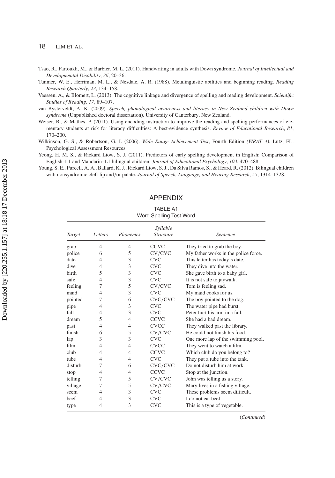#### 18 LIM ET AL.

- Tsao, R., Fartoukh, M., & Barbier, M. L. (2011). Handwriting in adults with Down syndrome. *Journal of Intellectual and Developmental Disability*, *36*, 20–36.
- Tunmer, W. E., Herriman, M. L., & Nesdale, A. R. (1988). Metalinguistic abilities and beginning reading. *Reading Research Quarterly*, *23*, 134–158.
- Vaessen, A., & Blomert, L. (2013). The cognitive linkage and divergence of spelling and reading development. *Scientific Studies of Reading*, *17*, 89–107.
- van Bysterveldt, A. K. (2009). *Speech, phonological awareness and literacy in New Zealand children with Down syndrome* (Unpublished doctoral dissertation). University of Canterbury, New Zealand.
- Weiser, B., & Mathes, P. (2011). Using encoding instruction to improve the reading and spelling performances of elementary students at risk for literacy difficulties: A best-evidence synthesis. *Review of Educational Research*, *81*, 170–200.
- Wilkinson, G. S., & Robertson, G. J. (2006). *Wide Range Achievement Test*, Fourth Edition *(WRAT–4)*. Lutz, FL: Psychological Assessment Resources.
- Yeong, H. M. S., & Rickard Liow, S. J. (2011). Predictors of early spelling development in English: Comparison of English–L1 and Mandarin–L1 bilingual children. *Journal of Educational Psychology*, *103*, 470–488.
- Young, S. E., Purcell, A. A., Ballard, K. J., Rickard Liow, S. J., Da Silva Ramos, S., & Heard, R. (2012). Bilingual children with nonsyndromic cleft lip and/or palate. *Journal of Speech, Language, and Hearing Research*, *55*, 1314–1328.

#### APPENDIX

#### TABLE A1 Word Spelling Test Word

| Target  | Letters        | Phonemes | Syllable<br><b>Structure</b> | Sentence                             |
|---------|----------------|----------|------------------------------|--------------------------------------|
| grab    | 4              | 4        | <b>CCVC</b>                  | They tried to grab the boy.          |
| police  | 6              | 5        | CV/CVC                       | My father works in the police force. |
| date    | 4              | 3        | <b>CVC</b>                   | This letter has today's date.        |
| dive    | 4              | 3        | <b>CVC</b>                   | They dive into the water.            |
| birth   | 5              | 3        | <b>CVC</b>                   | She gave birth to a baby girl.       |
| safe    | 4              | 3        | <b>CVC</b>                   | It is not safe to jaywalk.           |
| feeling | 7              | 5        | CV/CVC                       | Tom is feeling sad.                  |
| maid    | 4              | 3        | <b>CVC</b>                   | My maid cooks for us.                |
| pointed | 7              | 6        | CVC/CVC                      | The boy pointed to the dog.          |
| pipe    | 4              | 3        | <b>CVC</b>                   | The water pipe had burst.            |
| fall    | 4              | 3        | <b>CVC</b>                   | Peter hurt his arm in a fall.        |
| dream   | 5              | 4        | <b>CCVC</b>                  | She had a bad dream.                 |
| past    | 4              | 4        | <b>CVCC</b>                  | They walked past the library.        |
| finish  | 6              | 5        | CV/CVC                       | He could not finish his food.        |
| lap     | 3              | 3        | <b>CVC</b>                   | One more lap of the swimming pool.   |
| film    | 4              | 4        | <b>CVCC</b>                  | They went to watch a film.           |
| club    | 4              | 4        | <b>CCVC</b>                  | Which club do you belong to?         |
| tube    | 4              | 4        | <b>CVC</b>                   | They put a tube into the tank.       |
| disturb | 7              | 6        | CVC/CVC                      | Do not disturb him at work.          |
| stop    | 4              | 4        | <b>CCVC</b>                  | Stop at the junction.                |
| telling | 7              | 5        | CV/CVC                       | John was telling us a story.         |
| village | 7              | 5        | CV/CVC                       | Mary lives in a fishing village.     |
| seem    | $\overline{4}$ | 3        | <b>CVC</b>                   | These problems seem difficult.       |
| beef    | 4              | 3        | <b>CVC</b>                   | I do not eat beef.                   |
| type    | 4              | 3        | <b>CVC</b>                   | This is a type of vegetable.         |
|         |                |          |                              |                                      |

(*Continued*)